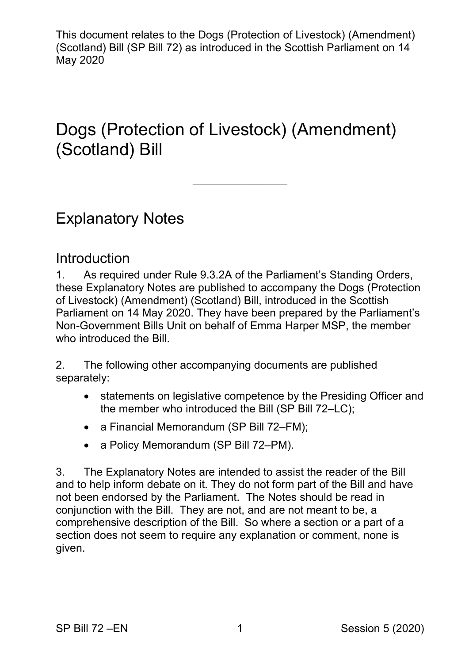# Dogs (Protection of Livestock) (Amendment) (Scotland) Bill

——————————

Explanatory Notes

### Introduction

1. As required under Rule 9.3.2A of the Parliament's Standing Orders, these Explanatory Notes are published to accompany the Dogs (Protection of Livestock) (Amendment) (Scotland) Bill, introduced in the Scottish Parliament on 14 May 2020. They have been prepared by the Parliament's Non-Government Bills Unit on behalf of Emma Harper MSP, the member who introduced the Bill.

2. The following other accompanying documents are published separately:

- statements on legislative competence by the Presiding Officer and the member who introduced the Bill (SP Bill 72–LC);
- a Financial Memorandum (SP Bill 72–FM);
- a Policy Memorandum (SP Bill 72–PM).

3. The Explanatory Notes are intended to assist the reader of the Bill and to help inform debate on it. They do not form part of the Bill and have not been endorsed by the Parliament. The Notes should be read in conjunction with the Bill. They are not, and are not meant to be, a comprehensive description of the Bill. So where a section or a part of a section does not seem to require any explanation or comment, none is given.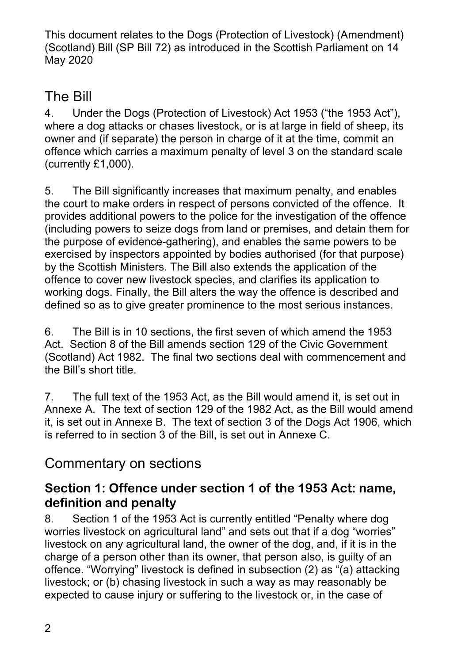## The Bill

4. Under the Dogs (Protection of Livestock) Act 1953 ("the 1953 Act"), where a dog attacks or chases livestock, or is at large in field of sheep, its owner and (if separate) the person in charge of it at the time, commit an offence which carries a maximum penalty of level 3 on the standard scale (currently £1,000).

5. The Bill significantly increases that maximum penalty, and enables the court to make orders in respect of persons convicted of the offence. It provides additional powers to the police for the investigation of the offence (including powers to seize dogs from land or premises, and detain them for the purpose of evidence-gathering), and enables the same powers to be exercised by inspectors appointed by bodies authorised (for that purpose) by the Scottish Ministers. The Bill also extends the application of the offence to cover new livestock species, and clarifies its application to working dogs. Finally, the Bill alters the way the offence is described and defined so as to give greater prominence to the most serious instances.

6. The Bill is in 10 sections, the first seven of which amend the 1953 Act. Section 8 of the Bill amends section 129 of the Civic Government (Scotland) Act 1982. The final two sections deal with commencement and the Bill's short title.

7. The full text of the 1953 Act, as the Bill would amend it, is set out in Annexe A. The text of section 129 of the 1982 Act, as the Bill would amend it, is set out in Annexe B. The text of section 3 of the Dogs Act 1906, which is referred to in section 3 of the Bill, is set out in Annexe C.

## Commentary on sections

### **Section 1: Offence under section 1 of the 1953 Act: name, definition and penalty**

8. Section 1 of the 1953 Act is currently entitled "Penalty where dog worries livestock on agricultural land" and sets out that if a dog "worries" livestock on any agricultural land, the owner of the dog, and, if it is in the charge of a person other than its owner, that person also, is guilty of an offence. "Worrying" livestock is defined in subsection (2) as "(a) attacking livestock; or (b) chasing livestock in such a way as may reasonably be expected to cause injury or suffering to the livestock or, in the case of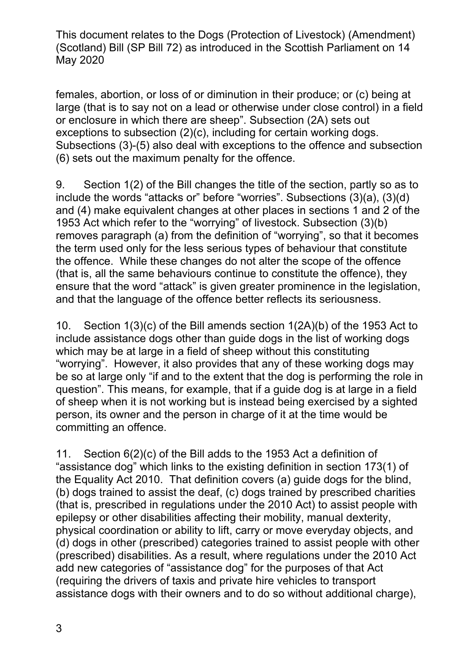females, abortion, or loss of or diminution in their produce; or (c) being at large (that is to say not on a lead or otherwise under close control) in a field or enclosure in which there are sheep". Subsection (2A) sets out exceptions to subsection (2)(c), including for certain working dogs. Subsections (3)-(5) also deal with exceptions to the offence and subsection (6) sets out the maximum penalty for the offence.

9. Section 1(2) of the Bill changes the title of the section, partly so as to include the words "attacks or" before "worries". Subsections (3)(a), (3)(d) and (4) make equivalent changes at other places in sections 1 and 2 of the 1953 Act which refer to the "worrying" of livestock. Subsection (3)(b) removes paragraph (a) from the definition of "worrying", so that it becomes the term used only for the less serious types of behaviour that constitute the offence. While these changes do not alter the scope of the offence (that is, all the same behaviours continue to constitute the offence), they ensure that the word "attack" is given greater prominence in the legislation, and that the language of the offence better reflects its seriousness.

10. Section 1(3)(c) of the Bill amends section 1(2A)(b) of the 1953 Act to include assistance dogs other than guide dogs in the list of working dogs which may be at large in a field of sheep without this constituting "worrying". However, it also provides that any of these working dogs may be so at large only "if and to the extent that the dog is performing the role in question". This means, for example, that if a guide dog is at large in a field of sheep when it is not working but is instead being exercised by a sighted person, its owner and the person in charge of it at the time would be committing an offence.

11. Section 6(2)(c) of the Bill adds to the 1953 Act a definition of "assistance dog" which links to the existing definition in section 173(1) of the Equality Act 2010. That definition covers (a) guide dogs for the blind, (b) dogs trained to assist the deaf, (c) dogs trained by prescribed charities (that is, prescribed in regulations under the 2010 Act) to assist people with epilepsy or other disabilities affecting their mobility, manual dexterity, physical coordination or ability to lift, carry or move everyday objects, and (d) dogs in other (prescribed) categories trained to assist people with other (prescribed) disabilities. As a result, where regulations under the 2010 Act add new categories of "assistance dog" for the purposes of that Act (requiring the drivers of taxis and private hire vehicles to transport assistance dogs with their owners and to do so without additional charge),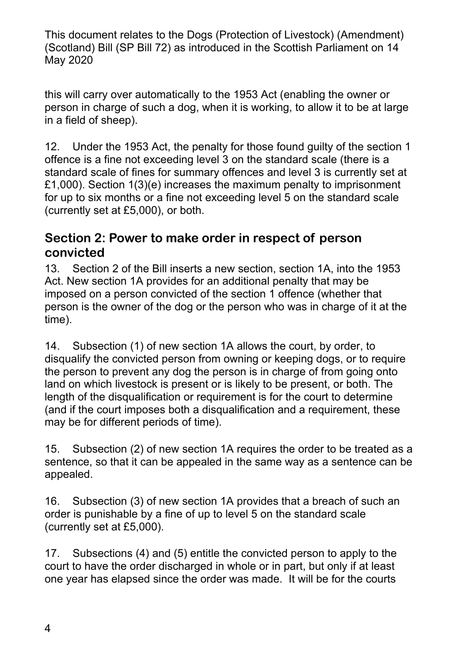this will carry over automatically to the 1953 Act (enabling the owner or person in charge of such a dog, when it is working, to allow it to be at large in a field of sheep).

12. Under the 1953 Act, the penalty for those found guilty of the section 1 offence is a fine not exceeding level 3 on the standard scale (there is a standard scale of fines for summary offences and level 3 is currently set at £1,000). Section 1(3)(e) increases the maximum penalty to imprisonment for up to six months or a fine not exceeding level 5 on the standard scale (currently set at £5,000), or both.

### **Section 2: Power to make order in respect of person convicted**

13. Section 2 of the Bill inserts a new section, section 1A, into the 1953 Act. New section 1A provides for an additional penalty that may be imposed on a person convicted of the section 1 offence (whether that person is the owner of the dog or the person who was in charge of it at the time).

14. Subsection (1) of new section 1A allows the court, by order, to disqualify the convicted person from owning or keeping dogs, or to require the person to prevent any dog the person is in charge of from going onto land on which livestock is present or is likely to be present, or both. The length of the disqualification or requirement is for the court to determine (and if the court imposes both a disqualification and a requirement, these may be for different periods of time).

15. Subsection (2) of new section 1A requires the order to be treated as a sentence, so that it can be appealed in the same way as a sentence can be appealed.

16. Subsection (3) of new section 1A provides that a breach of such an order is punishable by a fine of up to level 5 on the standard scale (currently set at £5,000).

17. Subsections (4) and (5) entitle the convicted person to apply to the court to have the order discharged in whole or in part, but only if at least one year has elapsed since the order was made. It will be for the courts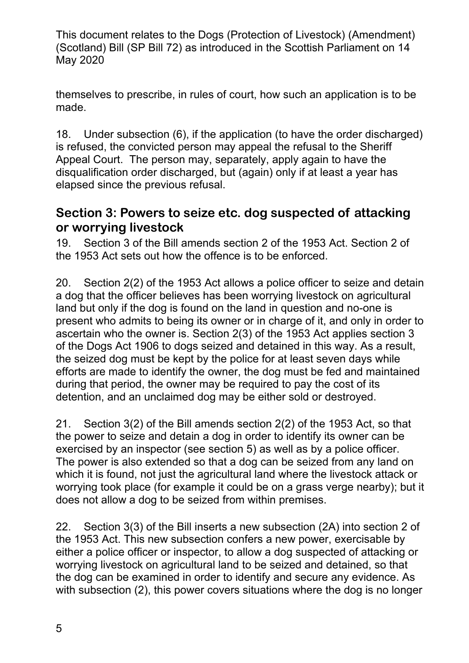themselves to prescribe, in rules of court, how such an application is to be made.

18. Under subsection (6), if the application (to have the order discharged) is refused, the convicted person may appeal the refusal to the Sheriff Appeal Court. The person may, separately, apply again to have the disqualification order discharged, but (again) only if at least a year has elapsed since the previous refusal.

### **Section 3: Powers to seize etc. dog suspected of attacking or worrying livestock**

19. Section 3 of the Bill amends section 2 of the 1953 Act. Section 2 of the 1953 Act sets out how the offence is to be enforced.

20. Section 2(2) of the 1953 Act allows a police officer to seize and detain a dog that the officer believes has been worrying livestock on agricultural land but only if the dog is found on the land in question and no-one is present who admits to being its owner or in charge of it, and only in order to ascertain who the owner is. Section 2(3) of the 1953 Act applies section 3 of the Dogs Act 1906 to dogs seized and detained in this way. As a result, the seized dog must be kept by the police for at least seven days while efforts are made to identify the owner, the dog must be fed and maintained during that period, the owner may be required to pay the cost of its detention, and an unclaimed dog may be either sold or destroyed.

21. Section 3(2) of the Bill amends section 2(2) of the 1953 Act, so that the power to seize and detain a dog in order to identify its owner can be exercised by an inspector (see section 5) as well as by a police officer. The power is also extended so that a dog can be seized from any land on which it is found, not just the agricultural land where the livestock attack or worrying took place (for example it could be on a grass verge nearby); but it does not allow a dog to be seized from within premises.

22. Section 3(3) of the Bill inserts a new subsection (2A) into section 2 of the 1953 Act. This new subsection confers a new power, exercisable by either a police officer or inspector, to allow a dog suspected of attacking or worrying livestock on agricultural land to be seized and detained, so that the dog can be examined in order to identify and secure any evidence. As with subsection (2), this power covers situations where the dog is no longer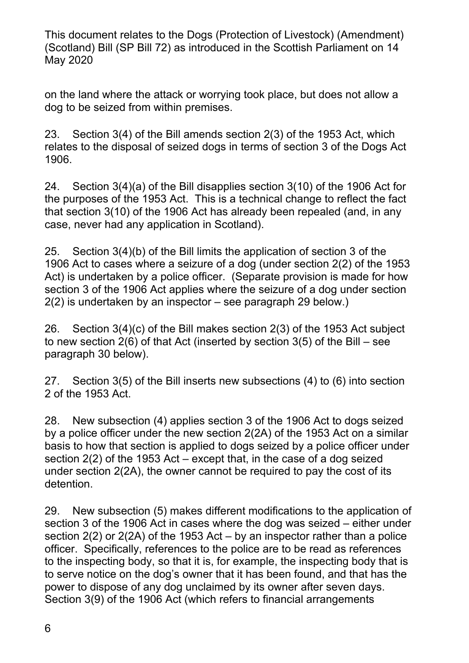on the land where the attack or worrying took place, but does not allow a dog to be seized from within premises.

23. Section 3(4) of the Bill amends section 2(3) of the 1953 Act, which relates to the disposal of seized dogs in terms of section 3 of the Dogs Act 1906.

24. Section 3(4)(a) of the Bill disapplies section 3(10) of the 1906 Act for the purposes of the 1953 Act. This is a technical change to reflect the fact that section 3(10) of the 1906 Act has already been repealed (and, in any case, never had any application in Scotland).

25. Section 3(4)(b) of the Bill limits the application of section 3 of the 1906 Act to cases where a seizure of a dog (under section 2(2) of the 1953 Act) is undertaken by a police officer. (Separate provision is made for how section 3 of the 1906 Act applies where the seizure of a dog under section 2(2) is undertaken by an inspector – see paragraph 29 below.)

26. Section 3(4)(c) of the Bill makes section 2(3) of the 1953 Act subject to new section 2(6) of that Act (inserted by section 3(5) of the Bill – see paragraph 30 below).

27. Section 3(5) of the Bill inserts new subsections (4) to (6) into section 2 of the 1953 Act.

28. New subsection (4) applies section 3 of the 1906 Act to dogs seized by a police officer under the new section 2(2A) of the 1953 Act on a similar basis to how that section is applied to dogs seized by a police officer under section 2(2) of the 1953 Act – except that, in the case of a dog seized under section 2(2A), the owner cannot be required to pay the cost of its detention.

29. New subsection (5) makes different modifications to the application of section 3 of the 1906 Act in cases where the dog was seized – either under section 2(2) or 2(2A) of the 1953 Act – by an inspector rather than a police officer. Specifically, references to the police are to be read as references to the inspecting body, so that it is, for example, the inspecting body that is to serve notice on the dog's owner that it has been found, and that has the power to dispose of any dog unclaimed by its owner after seven days. Section 3(9) of the 1906 Act (which refers to financial arrangements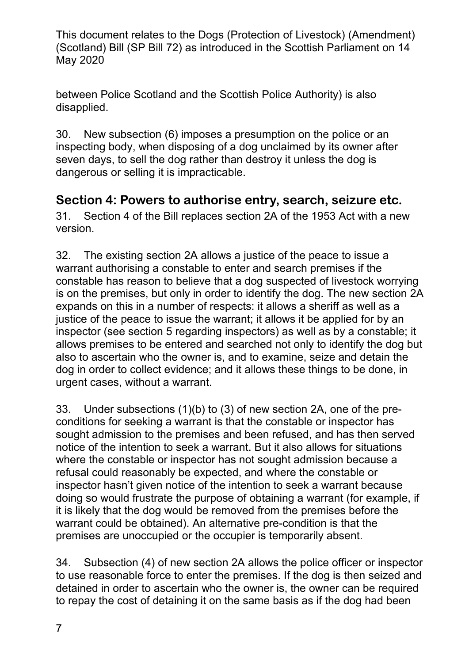between Police Scotland and the Scottish Police Authority) is also disapplied.

30. New subsection (6) imposes a presumption on the police or an inspecting body, when disposing of a dog unclaimed by its owner after seven days, to sell the dog rather than destroy it unless the dog is dangerous or selling it is impracticable.

### **Section 4: Powers to authorise entry, search, seizure etc.**

31. Section 4 of the Bill replaces section 2A of the 1953 Act with a new version.

32. The existing section 2A allows a justice of the peace to issue a warrant authorising a constable to enter and search premises if the constable has reason to believe that a dog suspected of livestock worrying is on the premises, but only in order to identify the dog. The new section 2A expands on this in a number of respects: it allows a sheriff as well as a justice of the peace to issue the warrant; it allows it be applied for by an inspector (see section 5 regarding inspectors) as well as by a constable; it allows premises to be entered and searched not only to identify the dog but also to ascertain who the owner is, and to examine, seize and detain the dog in order to collect evidence; and it allows these things to be done, in urgent cases, without a warrant.

33. Under subsections (1)(b) to (3) of new section 2A, one of the preconditions for seeking a warrant is that the constable or inspector has sought admission to the premises and been refused, and has then served notice of the intention to seek a warrant. But it also allows for situations where the constable or inspector has not sought admission because a refusal could reasonably be expected, and where the constable or inspector hasn't given notice of the intention to seek a warrant because doing so would frustrate the purpose of obtaining a warrant (for example, if it is likely that the dog would be removed from the premises before the warrant could be obtained). An alternative pre-condition is that the premises are unoccupied or the occupier is temporarily absent.

34. Subsection (4) of new section 2A allows the police officer or inspector to use reasonable force to enter the premises. If the dog is then seized and detained in order to ascertain who the owner is, the owner can be required to repay the cost of detaining it on the same basis as if the dog had been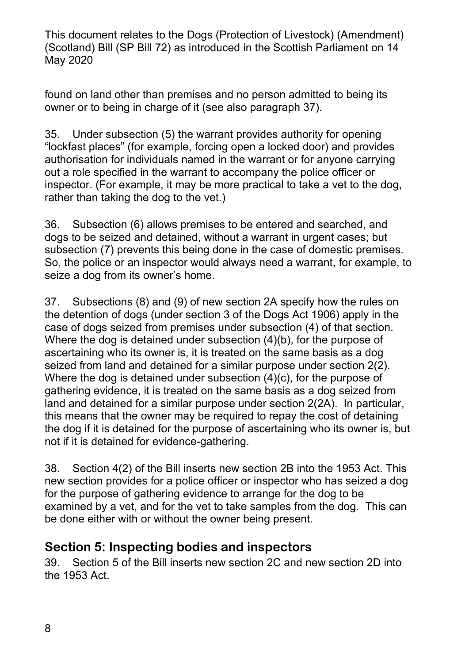found on land other than premises and no person admitted to being its owner or to being in charge of it (see also paragraph 37).

35. Under subsection (5) the warrant provides authority for opening "lockfast places" (for example, forcing open a locked door) and provides authorisation for individuals named in the warrant or for anyone carrying out a role specified in the warrant to accompany the police officer or inspector. (For example, it may be more practical to take a vet to the dog, rather than taking the dog to the vet.)

36. Subsection (6) allows premises to be entered and searched, and dogs to be seized and detained, without a warrant in urgent cases; but subsection (7) prevents this being done in the case of domestic premises. So, the police or an inspector would always need a warrant, for example, to seize a dog from its owner's home.

37. Subsections (8) and (9) of new section 2A specify how the rules on the detention of dogs (under section 3 of the Dogs Act 1906) apply in the case of dogs seized from premises under subsection (4) of that section. Where the dog is detained under subsection (4)(b), for the purpose of ascertaining who its owner is, it is treated on the same basis as a dog seized from land and detained for a similar purpose under section 2(2). Where the dog is detained under subsection (4)(c), for the purpose of gathering evidence, it is treated on the same basis as a dog seized from land and detained for a similar purpose under section 2(2A). In particular, this means that the owner may be required to repay the cost of detaining the dog if it is detained for the purpose of ascertaining who its owner is, but not if it is detained for evidence-gathering.

38. Section 4(2) of the Bill inserts new section 2B into the 1953 Act. This new section provides for a police officer or inspector who has seized a dog for the purpose of gathering evidence to arrange for the dog to be examined by a vet, and for the vet to take samples from the dog. This can be done either with or without the owner being present.

### **Section 5: Inspecting bodies and inspectors**

39. Section 5 of the Bill inserts new section 2C and new section 2D into the 1953 Act.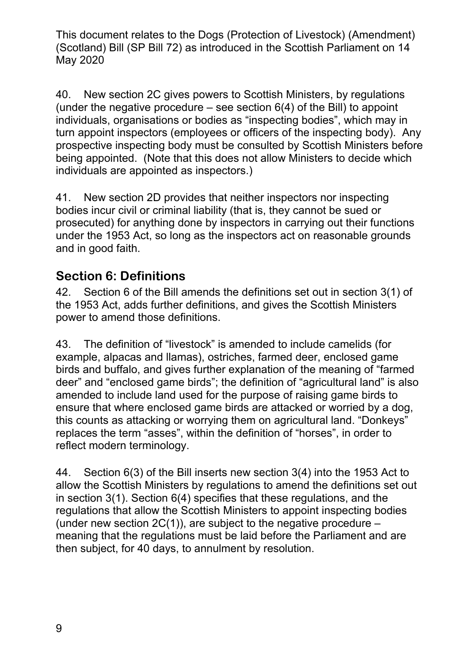40. New section 2C gives powers to Scottish Ministers, by regulations (under the negative procedure  $-$  see section  $6(4)$  of the Bill) to appoint individuals, organisations or bodies as "inspecting bodies", which may in turn appoint inspectors (employees or officers of the inspecting body). Any prospective inspecting body must be consulted by Scottish Ministers before being appointed. (Note that this does not allow Ministers to decide which individuals are appointed as inspectors.)

41. New section 2D provides that neither inspectors nor inspecting bodies incur civil or criminal liability (that is, they cannot be sued or prosecuted) for anything done by inspectors in carrying out their functions under the 1953 Act, so long as the inspectors act on reasonable grounds and in good faith.

### **Section 6: Definitions**

42. Section 6 of the Bill amends the definitions set out in section 3(1) of the 1953 Act, adds further definitions, and gives the Scottish Ministers power to amend those definitions.

43. The definition of "livestock" is amended to include camelids (for example, alpacas and llamas), ostriches, farmed deer, enclosed game birds and buffalo, and gives further explanation of the meaning of "farmed deer" and "enclosed game birds"; the definition of "agricultural land" is also amended to include land used for the purpose of raising game birds to ensure that where enclosed game birds are attacked or worried by a dog, this counts as attacking or worrying them on agricultural land. "Donkeys" replaces the term "asses", within the definition of "horses", in order to reflect modern terminology.

44. Section 6(3) of the Bill inserts new section 3(4) into the 1953 Act to allow the Scottish Ministers by regulations to amend the definitions set out in section 3(1). Section 6(4) specifies that these regulations, and the regulations that allow the Scottish Ministers to appoint inspecting bodies (under new section  $2C(1)$ ), are subject to the negative procedure  $$ meaning that the regulations must be laid before the Parliament and are then subject, for 40 days, to annulment by resolution.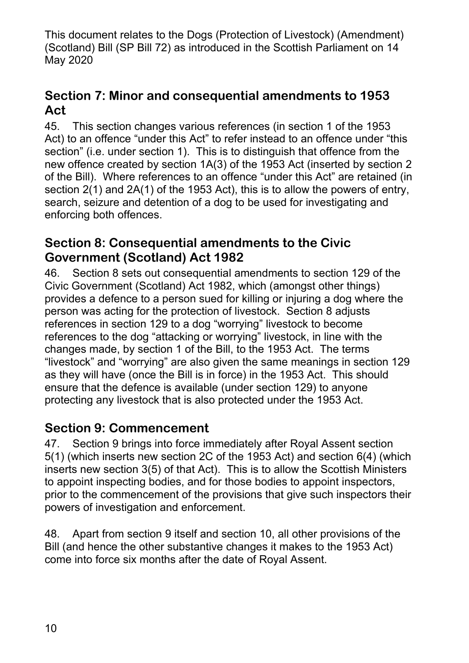### **Section 7: Minor and consequential amendments to 1953 Act**

45. This section changes various references (in section 1 of the 1953 Act) to an offence "under this Act" to refer instead to an offence under "this section" (i.e. under section 1). This is to distinguish that offence from the new offence created by section 1A(3) of the 1953 Act (inserted by section 2 of the Bill). Where references to an offence "under this Act" are retained (in section 2(1) and 2A(1) of the 1953 Act), this is to allow the powers of entry, search, seizure and detention of a dog to be used for investigating and enforcing both offences.

### **Section 8: Consequential amendments to the Civic Government (Scotland) Act 1982**

46. Section 8 sets out consequential amendments to section 129 of the Civic Government (Scotland) Act 1982, which (amongst other things) provides a defence to a person sued for killing or injuring a dog where the person was acting for the protection of livestock. Section 8 adjusts references in section 129 to a dog "worrying" livestock to become references to the dog "attacking or worrying" livestock, in line with the changes made, by section 1 of the Bill, to the 1953 Act. The terms "livestock" and "worrying" are also given the same meanings in section 129 as they will have (once the Bill is in force) in the 1953 Act. This should ensure that the defence is available (under section 129) to anyone protecting any livestock that is also protected under the 1953 Act.

### **Section 9: Commencement**

47. Section 9 brings into force immediately after Royal Assent section 5(1) (which inserts new section 2C of the 1953 Act) and section 6(4) (which inserts new section 3(5) of that Act). This is to allow the Scottish Ministers to appoint inspecting bodies, and for those bodies to appoint inspectors, prior to the commencement of the provisions that give such inspectors their powers of investigation and enforcement.

48. Apart from section 9 itself and section 10, all other provisions of the Bill (and hence the other substantive changes it makes to the 1953 Act) come into force six months after the date of Royal Assent.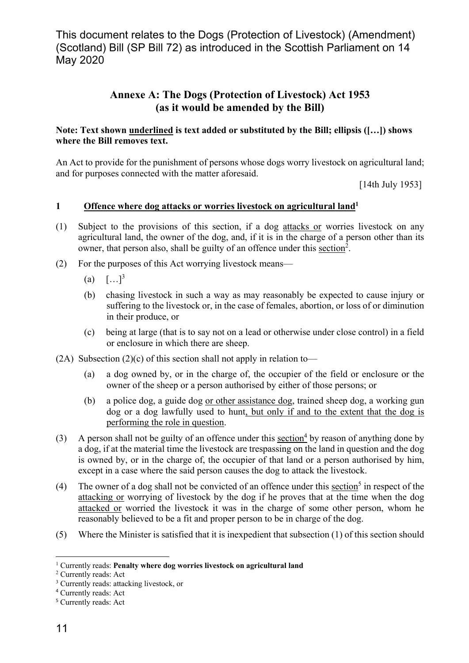#### **Annexe A: The Dogs (Protection of Livestock) Act 1953 (as it would be amended by the Bill)**

#### **Note: Text shown underlined is text added or substituted by the Bill; ellipsis ([…]) shows where the Bill removes text.**

An Act to provide for the punishment of persons whose dogs worry livestock on agricultural land; and for purposes connected with the matter aforesaid.

[14th July 1953]

#### **1 Offence where dog attacks or worries livestock on agricultural land1**

- (1) Subject to the provisions of this section, if a dog attacks or worries livestock on any agricultural land, the owner of the dog, and, if it is in the charge of a person other than its owner, that person also, shall be guilty of an offence under this section<sup>2</sup>.
- (2) For the purposes of this Act worrying livestock means—
	- (a)  $[\dots]^3$
	- (b) chasing livestock in such a way as may reasonably be expected to cause injury or suffering to the livestock or, in the case of females, abortion, or loss of or diminution in their produce, or
	- (c) being at large (that is to say not on a lead or otherwise under close control) in a field or enclosure in which there are sheep.
- (2A) Subsection (2)(c) of this section shall not apply in relation to—
	- (a) a dog owned by, or in the charge of, the occupier of the field or enclosure or the owner of the sheep or a person authorised by either of those persons; or
	- (b) a police dog, a guide dog or other assistance dog, trained sheep dog, a working gun dog or a dog lawfully used to hunt, but only if and to the extent that the dog is performing the role in question.
- (3) A person shall not be guilty of an offence under this  $section<sup>4</sup>$  by reason of anything done by</u> a dog, if at the material time the livestock are trespassing on the land in question and the dog is owned by, or in the charge of, the occupier of that land or a person authorised by him, except in a case where the said person causes the dog to attack the livestock.
- (4) The owner of a dog shall not be convicted of an offence under this  $\frac{\mathrm{section}^5}{2}$  in respect of the attacking or worrying of livestock by the dog if he proves that at the time when the dog attacked or worried the livestock it was in the charge of some other person, whom he reasonably believed to be a fit and proper person to be in charge of the dog.
- (5) Where the Minister is satisfied that it is inexpedient that subsection (1) of this section should

<u>.</u>

<sup>&</sup>lt;sup>1</sup> Currently reads: **Penalty where dog worries livestock on agricultural land** 

<sup>2</sup> Currently reads: Act

<sup>&</sup>lt;sup>3</sup> Currently reads: attacking livestock, or

<sup>4</sup> Currently reads: Act

<sup>5</sup> Currently reads: Act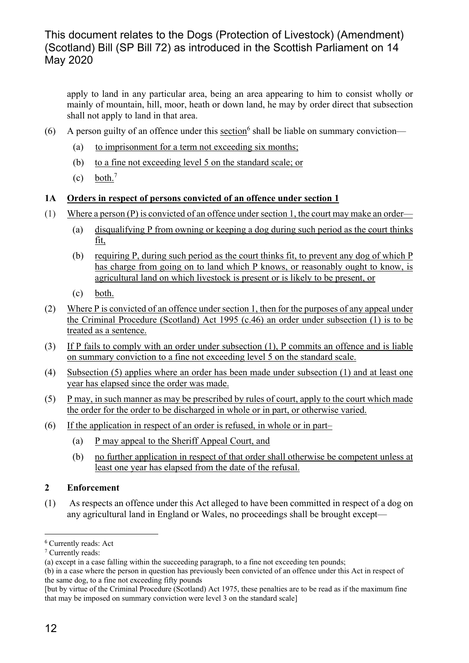apply to land in any particular area, being an area appearing to him to consist wholly or mainly of mountain, hill, moor, heath or down land, he may by order direct that subsection shall not apply to land in that area.

- (6) A person guilty of an offence under this  ${\rm section}^6$  shall be liable on summary conviction—
	- (a) to imprisonment for a term not exceeding six months;
	- (b) to a fine not exceeding level 5 on the standard scale; or
	- $(c)$  both.<sup>7</sup>

#### **1A Orders in respect of persons convicted of an offence under section 1**

- (1) Where a person (P) is convicted of an offence under section 1, the court may make an order—
	- (a) disqualifying P from owning or keeping a dog during such period as the court thinks fit,
	- (b) requiring P, during such period as the court thinks fit, to prevent any dog of which P has charge from going on to land which P knows, or reasonably ought to know, is agricultural land on which livestock is present or is likely to be present, or
	- (c) both.
- (2) Where P is convicted of an offence under section 1, then for the purposes of any appeal under the Criminal Procedure (Scotland) Act 1995 (c.46) an order under subsection (1) is to be treated as a sentence.
- (3) If P fails to comply with an order under subsection (1), P commits an offence and is liable on summary conviction to a fine not exceeding level 5 on the standard scale.
- (4) Subsection (5) applies where an order has been made under subsection (1) and at least one year has elapsed since the order was made.
- (5) P may, in such manner as may be prescribed by rules of court, apply to the court which made the order for the order to be discharged in whole or in part, or otherwise varied.
- (6) If the application in respect of an order is refused, in whole or in part–
	- (a) P may appeal to the Sheriff Appeal Court, and
	- (b) no further application in respect of that order shall otherwise be competent unless at least one year has elapsed from the date of the refusal.

#### **2 Enforcement**

(1) As respects an offence under this Act alleged to have been committed in respect of a dog on any agricultural land in England or Wales, no proceedings shall be brought except—

 $\overline{a}$ 

<sup>6</sup> Currently reads: Act

<sup>7</sup> Currently reads:

<sup>(</sup>a) except in a case falling within the succeeding paragraph, to a fine not exceeding ten pounds;

<sup>(</sup>b) in a case where the person in question has previously been convicted of an offence under this Act in respect of the same dog, to a fine not exceeding fifty pounds

<sup>[</sup>but by virtue of the Criminal Procedure (Scotland) Act 1975, these penalties are to be read as if the maximum fine that may be imposed on summary conviction were level 3 on the standard scale]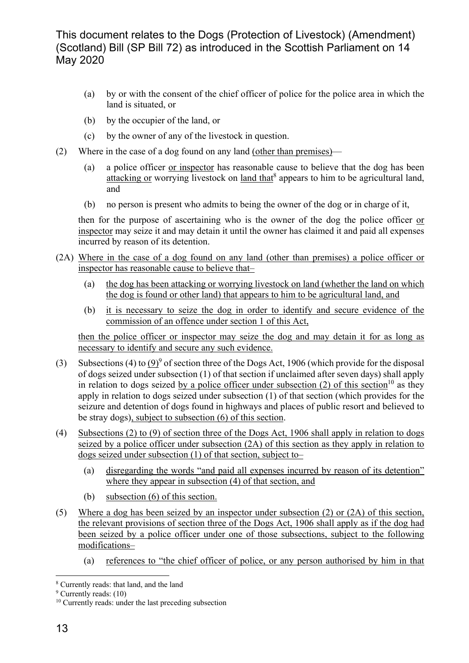- (a) by or with the consent of the chief officer of police for the police area in which the land is situated, or
- (b) by the occupier of the land, or
- (c) by the owner of any of the livestock in question.
- (2) Where in the case of a dog found on any land (other than premises)—
	- (a) a police officer or inspector has reasonable cause to believe that the dog has been attacking or worrying livestock on land that<sup>8</sup> appears to him to be agricultural land, and
	- (b) no person is present who admits to being the owner of the dog or in charge of it,

then for the purpose of ascertaining who is the owner of the dog the police officer or inspector may seize it and may detain it until the owner has claimed it and paid all expenses incurred by reason of its detention.

- (2A) Where in the case of a dog found on any land (other than premises) a police officer or inspector has reasonable cause to believe that–
	- (a) the dog has been attacking or worrying livestock on land (whether the land on which the dog is found or other land) that appears to him to be agricultural land, and
	- (b) it is necessary to seize the dog in order to identify and secure evidence of the commission of an offence under section 1 of this Act,

then the police officer or inspector may seize the dog and may detain it for as long as necessary to identify and secure any such evidence.

- (3) Subsections (4) to  $(9)^9$  of section three of the Dogs Act, 1906 (which provide for the disposal of dogs seized under subsection (1) of that section if unclaimed after seven days) shall apply in relation to dogs seized by a police officer under subsection (2) of this section<sup>10</sup> as they apply in relation to dogs seized under subsection (1) of that section (which provides for the seizure and detention of dogs found in highways and places of public resort and believed to be stray dogs), subject to subsection (6) of this section.
- (4) Subsections (2) to (9) of section three of the Dogs Act, 1906 shall apply in relation to dogs seized by a police officer under subsection (2A) of this section as they apply in relation to dogs seized under subsection (1) of that section, subject to–
	- (a) disregarding the words "and paid all expenses incurred by reason of its detention" where they appear in subsection (4) of that section, and
	- (b) subsection (6) of this section.
- (5) Where a dog has been seized by an inspector under subsection (2) or (2A) of this section, the relevant provisions of section three of the Dogs Act, 1906 shall apply as if the dog had been seized by a police officer under one of those subsections, subject to the following modifications–
	- (a) references to "the chief officer of police, or any person authorised by him in that

<sup>&</sup>lt;u>.</u> 8 Currently reads: that land, and the land

<sup>&</sup>lt;sup>9</sup> Currently reads: (10)

<sup>&</sup>lt;sup>10</sup> Currently reads: under the last preceding subsection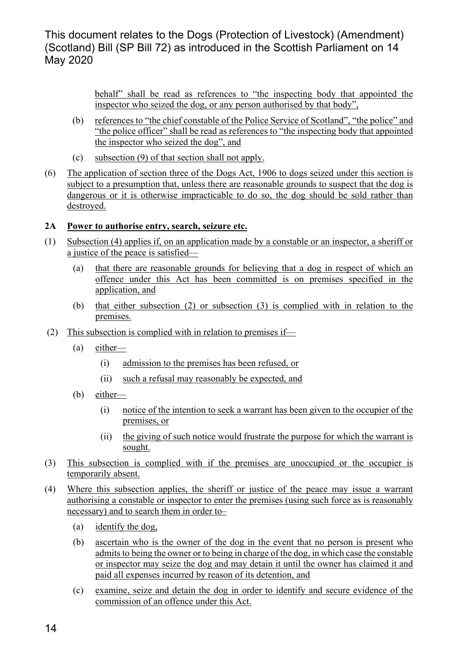> behalf" shall be read as references to "the inspecting body that appointed the inspector who seized the dog, or any person authorised by that body",

- (b) references to "the chief constable of the Police Service of Scotland", "the police" and "the police officer" shall be read as references to "the inspecting body that appointed the inspector who seized the dog", and
- (c) subsection (9) of that section shall not apply.
- (6) The application of section three of the Dogs Act, 1906 to dogs seized under this section is subject to a presumption that, unless there are reasonable grounds to suspect that the dog is dangerous or it is otherwise impracticable to do so, the dog should be sold rather than destroyed.

#### **2A Power to authorise entry, search, seizure etc.**

- (1) Subsection (4) applies if, on an application made by a constable or an inspector, a sheriff or a justice of the peace is satisfied—
	- (a) that there are reasonable grounds for believing that a dog in respect of which an offence under this Act has been committed is on premises specified in the application, and
	- (b) that either subsection (2) or subsection (3) is complied with in relation to the premises.
- (2) This subsection is complied with in relation to premises if—
	- (a) either—
		- (i) admission to the premises has been refused, or
		- (ii) such a refusal may reasonably be expected, and
	- (b) either—
		- (i) notice of the intention to seek a warrant has been given to the occupier of the premises, or
		- (ii) the giving of such notice would frustrate the purpose for which the warrant is sought.
- (3) This subsection is complied with if the premises are unoccupied or the occupier is temporarily absent.
- (4) Where this subsection applies, the sheriff or justice of the peace may issue a warrant authorising a constable or inspector to enter the premises (using such force as is reasonably necessary) and to search them in order to–
	- (a) identify the dog,
	- (b) ascertain who is the owner of the dog in the event that no person is present who admits to being the owner or to being in charge of the dog, in which case the constable or inspector may seize the dog and may detain it until the owner has claimed it and paid all expenses incurred by reason of its detention, and
	- (c) examine, seize and detain the dog in order to identify and secure evidence of the commission of an offence under this Act.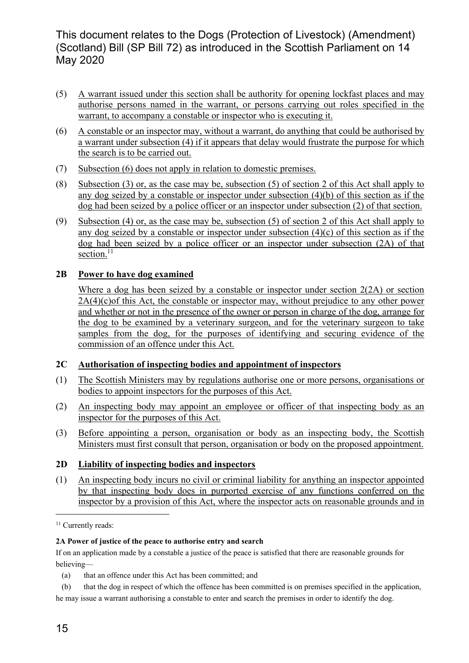- (5) A warrant issued under this section shall be authority for opening lockfast places and may authorise persons named in the warrant, or persons carrying out roles specified in the warrant, to accompany a constable or inspector who is executing it.
- (6) A constable or an inspector may, without a warrant, do anything that could be authorised by a warrant under subsection (4) if it appears that delay would frustrate the purpose for which the search is to be carried out.
- (7) Subsection (6) does not apply in relation to domestic premises.
- (8) Subsection (3) or, as the case may be, subsection (5) of section 2 of this Act shall apply to any dog seized by a constable or inspector under subsection (4)(b) of this section as if the dog had been seized by a police officer or an inspector under subsection (2) of that section.
- (9) Subsection (4) or, as the case may be, subsection (5) of section 2 of this Act shall apply to any dog seized by a constable or inspector under subsection (4)(c) of this section as if the dog had been seized by a police officer or an inspector under subsection (2A) of that section.<sup>11</sup>

#### **2B Power to have dog examined**

 Where a dog has been seized by a constable or inspector under section 2(2A) or section  $2A(4)(c)$  of this Act, the constable or inspector may, without prejudice to any other power and whether or not in the presence of the owner or person in charge of the dog, arrange for the dog to be examined by a veterinary surgeon, and for the veterinary surgeon to take samples from the dog, for the purposes of identifying and securing evidence of the commission of an offence under this Act.

#### **2C Authorisation of inspecting bodies and appointment of inspectors**

- (1) The Scottish Ministers may by regulations authorise one or more persons, organisations or bodies to appoint inspectors for the purposes of this Act.
- (2) An inspecting body may appoint an employee or officer of that inspecting body as an inspector for the purposes of this Act.
- (3) Before appointing a person, organisation or body as an inspecting body, the Scottish Ministers must first consult that person, organisation or body on the proposed appointment.

#### **2D Liability of inspecting bodies and inspectors**

(1) An inspecting body incurs no civil or criminal liability for anything an inspector appointed by that inspecting body does in purported exercise of any functions conferred on the inspector by a provision of this Act, where the inspector acts on reasonable grounds and in

#### **2A Power of justice of the peace to authorise entry and search**

If on an application made by a constable a justice of the peace is satisfied that there are reasonable grounds for believing—

1

<sup>&</sup>lt;sup>11</sup> Currently reads:

 <sup>(</sup>a) that an offence under this Act has been committed; and

 <sup>(</sup>b) that the dog in respect of which the offence has been committed is on premises specified in the application, he may issue a warrant authorising a constable to enter and search the premises in order to identify the dog.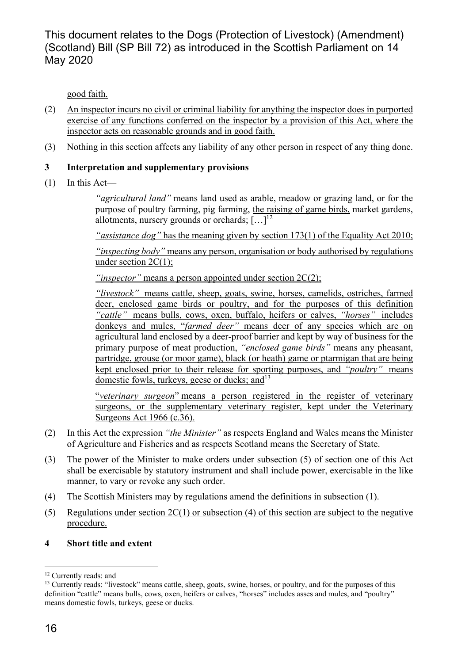good faith.

- (2) An inspector incurs no civil or criminal liability for anything the inspector does in purported exercise of any functions conferred on the inspector by a provision of this Act, where the inspector acts on reasonable grounds and in good faith.
- (3) Nothing in this section affects any liability of any other person in respect of any thing done.

#### **3 Interpretation and supplementary provisions**

(1) In this Act—

 *"agricultural land"* means land used as arable, meadow or grazing land, or for the purpose of poultry farming, pig farming, the raising of game birds, market gardens, allotments, nursery grounds or orchards;  $[\dots]^{12}$ 

 *"assistance dog"* has the meaning given by section 173(1) of the Equality Act 2010;

 *"inspecting body"* means any person, organisation or body authorised by regulations under section 2C(1);

 *"inspector"* means a person appointed under section 2C(2);

 *"livestock"* means cattle, sheep, goats, swine, horses, camelids, ostriches, farmed deer, enclosed game birds or poultry, and for the purposes of this definition *"cattle"* means bulls, cows, oxen, buffalo, heifers or calves, *"horses"* includes donkeys and mules, "*farmed deer"* means deer of any species which are on agricultural land enclosed by a deer-proof barrier and kept by way of business for the primary purpose of meat production, *"enclosed game birds"* means any pheasant, partridge, grouse (or moor game), black (or heath) game or ptarmigan that are being kept enclosed prior to their release for sporting purposes, and *"poultry"* means domestic fowls, turkeys, geese or ducks; and  $13$ 

 "*veterinary surgeon*" means a person registered in the register of veterinary surgeons, or the supplementary veterinary register, kept under the Veterinary Surgeons Act 1966 (c.36).

- (2) In this Act the expression *"the Minister"* as respects England and Wales means the Minister of Agriculture and Fisheries and as respects Scotland means the Secretary of State.
- (3) The power of the Minister to make orders under subsection (5) of section one of this Act shall be exercisable by statutory instrument and shall include power, exercisable in the like manner, to vary or revoke any such order.
- (4) The Scottish Ministers may by regulations amend the definitions in subsection (1).
- (5) Regulations under section  $2C(1)$  or subsection (4) of this section are subject to the negative procedure.
- **4 Short title and extent**

 $\overline{a}$ 

<sup>&</sup>lt;sup>12</sup> Currently reads: and

<sup>&</sup>lt;sup>13</sup> Currently reads: "livestock" means cattle, sheep, goats, swine, horses, or poultry, and for the purposes of this definition "cattle" means bulls, cows, oxen, heifers or calves, "horses" includes asses and mules, and "poultry" means domestic fowls, turkeys, geese or ducks.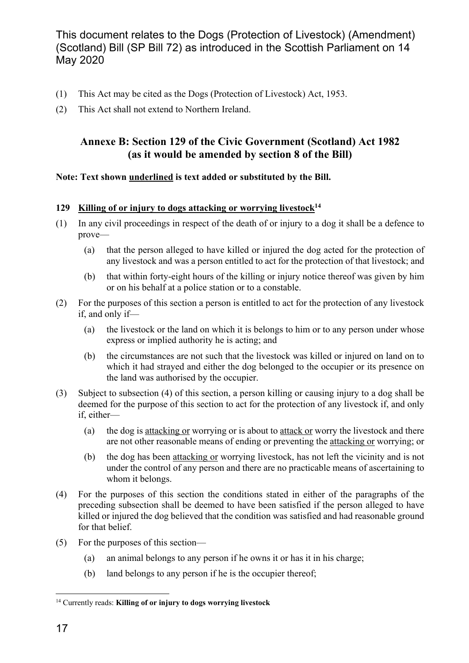- (1) This Act may be cited as the Dogs (Protection of Livestock) Act, 1953.
- (2) This Act shall not extend to Northern Ireland.

#### **Annexe B: Section 129 of the Civic Government (Scotland) Act 1982 (as it would be amended by section 8 of the Bill)**

#### **Note: Text shown underlined is text added or substituted by the Bill.**

#### 129 Killing of or injury to dogs attacking or worrying livestock<sup>14</sup>

- (1) In any civil proceedings in respect of the death of or injury to a dog it shall be a defence to prove—
	- (a) that the person alleged to have killed or injured the dog acted for the protection of any livestock and was a person entitled to act for the protection of that livestock; and
	- (b) that within forty-eight hours of the killing or injury notice thereof was given by him or on his behalf at a police station or to a constable.
- (2) For the purposes of this section a person is entitled to act for the protection of any livestock if, and only if—
	- (a) the livestock or the land on which it is belongs to him or to any person under whose express or implied authority he is acting; and
	- (b) the circumstances are not such that the livestock was killed or injured on land on to which it had strayed and either the dog belonged to the occupier or its presence on the land was authorised by the occupier.
- (3) Subject to subsection (4) of this section, a person killing or causing injury to a dog shall be deemed for the purpose of this section to act for the protection of any livestock if, and only if, either—
	- (a) the dog is attacking or worrying or is about to attack or worry the livestock and there are not other reasonable means of ending or preventing the attacking or worrying; or
	- (b) the dog has been attacking or worrying livestock, has not left the vicinity and is not under the control of any person and there are no practicable means of ascertaining to whom it belongs.
- (4) For the purposes of this section the conditions stated in either of the paragraphs of the preceding subsection shall be deemed to have been satisfied if the person alleged to have killed or injured the dog believed that the condition was satisfied and had reasonable ground for that belief.
- (5) For the purposes of this section—
	- (a) an animal belongs to any person if he owns it or has it in his charge;
	- (b) land belongs to any person if he is the occupier thereof;

1

<sup>14</sup> Currently reads: **Killing of or injury to dogs worrying livestock**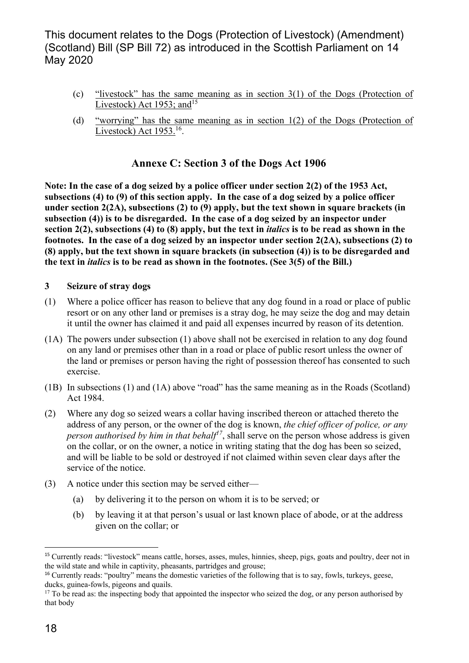- (c) "livestock" has the same meaning as in section 3(1) of the Dogs (Protection of Livestock) Act 1953; and  $15$
- (d) "worrying" has the same meaning as in section 1(2) of the Dogs (Protection of Livestock) Act 1953.<sup>16</sup>.

#### **Annexe C: Section 3 of the Dogs Act 1906**

**Note: In the case of a dog seized by a police officer under section 2(2) of the 1953 Act, subsections (4) to (9) of this section apply. In the case of a dog seized by a police officer under section 2(2A), subsections (2) to (9) apply, but the text shown in square brackets (in subsection (4)) is to be disregarded. In the case of a dog seized by an inspector under section 2(2), subsections (4) to (8) apply, but the text in** *italics* **is to be read as shown in the footnotes. In the case of a dog seized by an inspector under section 2(2A), subsections (2) to (8) apply, but the text shown in square brackets (in subsection (4)) is to be disregarded and the text in** *italics* **is to be read as shown in the footnotes. (See 3(5) of the Bill.)** 

#### **3 Seizure of stray dogs**

- (1) Where a police officer has reason to believe that any dog found in a road or place of public resort or on any other land or premises is a stray dog, he may seize the dog and may detain it until the owner has claimed it and paid all expenses incurred by reason of its detention.
- (1A) The powers under subsection (1) above shall not be exercised in relation to any dog found on any land or premises other than in a road or place of public resort unless the owner of the land or premises or person having the right of possession thereof has consented to such exercise.
- (1B) In subsections (1) and (1A) above "road" has the same meaning as in the Roads (Scotland) Act 1984.
- (2) Where any dog so seized wears a collar having inscribed thereon or attached thereto the address of any person, or the owner of the dog is known, *the chief officer of police, or any person authorised by him in that behalf<sup>17</sup>*, shall serve on the person whose address is given on the collar, or on the owner, a notice in writing stating that the dog has been so seized, and will be liable to be sold or destroyed if not claimed within seven clear days after the service of the notice.
- (3) A notice under this section may be served either—
	- (a) by delivering it to the person on whom it is to be served; or
	- (b) by leaving it at that person's usual or last known place of abode, or at the address given on the collar; or

 $\overline{a}$ 

<sup>15</sup> Currently reads: "livestock" means cattle, horses, asses, mules, hinnies, sheep, pigs, goats and poultry, deer not in the wild state and while in captivity, pheasants, partridges and grouse;

<sup>&</sup>lt;sup>16</sup> Currently reads: "poultry" means the domestic varieties of the following that is to say, fowls, turkeys, geese, ducks, guinea-fowls, pigeons and quails.

<sup>&</sup>lt;sup>17</sup> To be read as: the inspecting body that appointed the inspector who seized the dog, or any person authorised by that body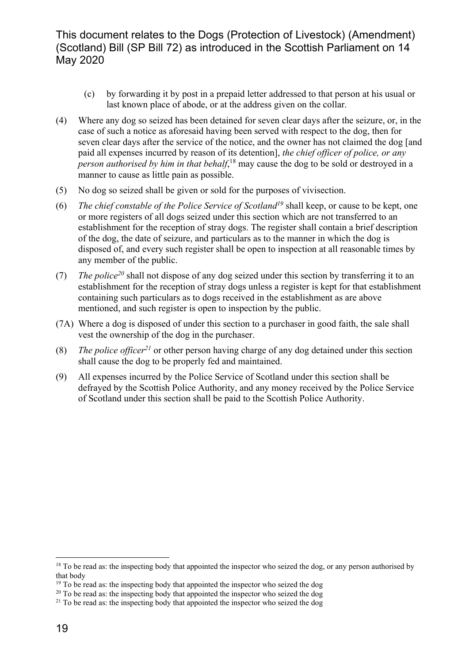- (c) by forwarding it by post in a prepaid letter addressed to that person at his usual or last known place of abode, or at the address given on the collar.
- (4) Where any dog so seized has been detained for seven clear days after the seizure, or, in the case of such a notice as aforesaid having been served with respect to the dog, then for seven clear days after the service of the notice, and the owner has not claimed the dog [and paid all expenses incurred by reason of its detention], *the chief officer of police, or any person authorised by him in that behalf*, 18 may cause the dog to be sold or destroyed in a manner to cause as little pain as possible.
- (5) No dog so seized shall be given or sold for the purposes of vivisection.
- (6) *The chief constable of the Police Service of Scotland19* shall keep, or cause to be kept, one or more registers of all dogs seized under this section which are not transferred to an establishment for the reception of stray dogs. The register shall contain a brief description of the dog, the date of seizure, and particulars as to the manner in which the dog is disposed of, and every such register shall be open to inspection at all reasonable times by any member of the public.
- (7) *The police20* shall not dispose of any dog seized under this section by transferring it to an establishment for the reception of stray dogs unless a register is kept for that establishment containing such particulars as to dogs received in the establishment as are above mentioned, and such register is open to inspection by the public.
- (7A) Where a dog is disposed of under this section to a purchaser in good faith, the sale shall vest the ownership of the dog in the purchaser.
- (8) *The police officer*<sup>21</sup> or other person having charge of any dog detained under this section shall cause the dog to be properly fed and maintained.
- (9) All expenses incurred by the Police Service of Scotland under this section shall be defrayed by the Scottish Police Authority, and any money received by the Police Service of Scotland under this section shall be paid to the Scottish Police Authority.

<sup>1</sup> <sup>18</sup> To be read as: the inspecting body that appointed the inspector who seized the dog, or any person authorised by that body

<sup>&</sup>lt;sup>19</sup> To be read as: the inspecting body that appointed the inspector who seized the dog

<sup>&</sup>lt;sup>20</sup> To be read as: the inspecting body that appointed the inspector who seized the dog

 $21$  To be read as: the inspecting body that appointed the inspector who seized the dog